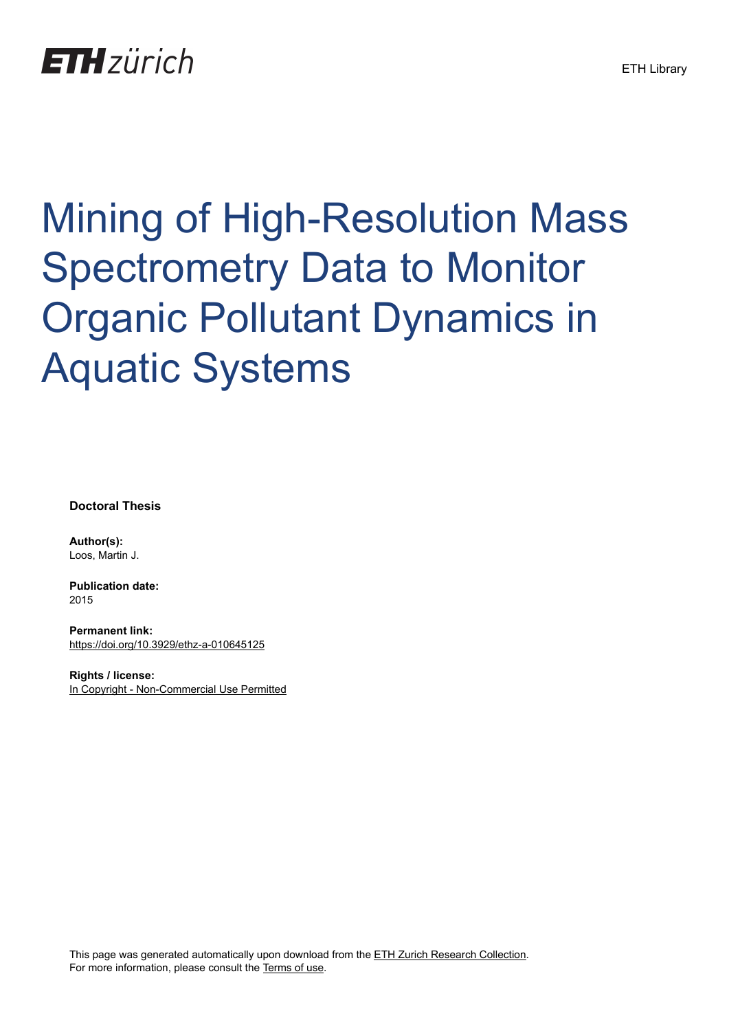## **ETH** zürich

# Mining of High-Resolution Mass Spectrometry Data to Monitor Organic Pollutant Dynamics in Aquatic Systems

**Doctoral Thesis**

**Author(s):** Loos, Martin J.

**Publication date:** 2015

**Permanent link:** <https://doi.org/10.3929/ethz-a-010645125>

**Rights / license:** [In Copyright - Non-Commercial Use Permitted](http://rightsstatements.org/page/InC-NC/1.0/)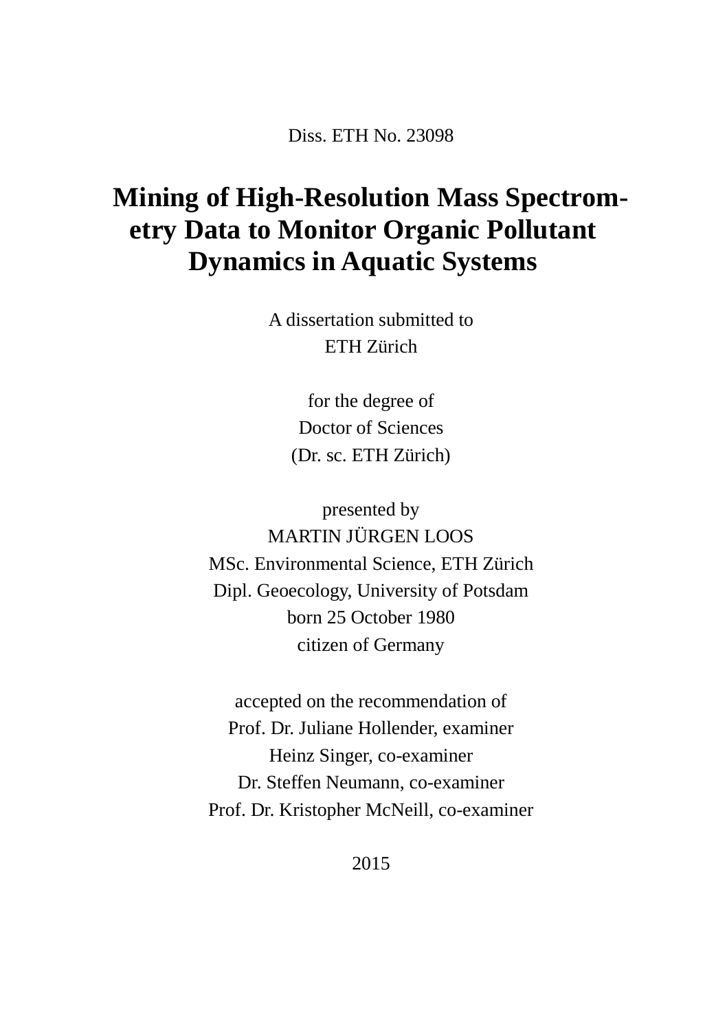Diss. ETH No. 23098

### **Mining of High-Resolution Mass Spectrometry Data to Monitor Organic Pollutant Dynamics in Aquatic Systems**

A dissertation submitted to ETH Zürich

> for the degree of Doctor of Sciences (Dr. sc. ETH Zürich)

presented by MARTIN JÜRGEN LOOS MSc. Environmental Science, ETH Zürich Dipl. Geoecology, University of Potsdam born 25 October 1980 citizen of Germany

accepted on the recommendation of Prof. Dr. Juliane Hollender, examiner Heinz Singer, co-examiner Dr. Steffen Neumann, co-examiner Prof. Dr. Kristopher McNeill, co-examiner

2015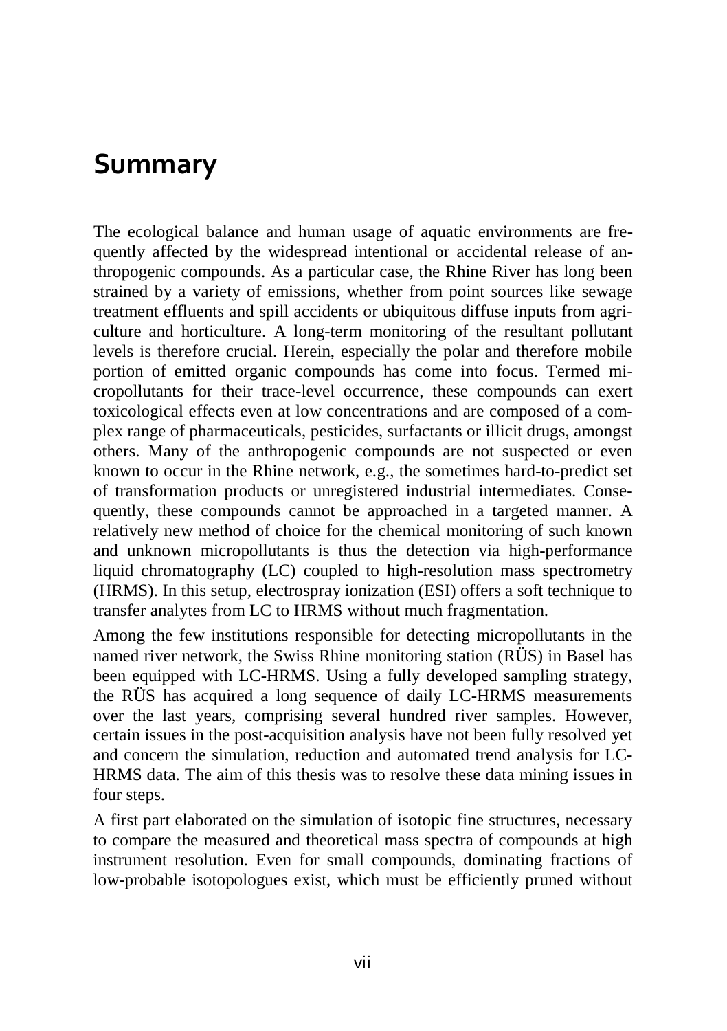#### **Summary**

The ecological balance and human usage of aquatic environments are frequently affected by the widespread intentional or accidental release of anthropogenic compounds. As a particular case, the Rhine River has long been strained by a variety of emissions, whether from point sources like sewage treatment effluents and spill accidents or ubiquitous diffuse inputs from agriculture and horticulture. A long-term monitoring of the resultant pollutant levels is therefore crucial. Herein, especially the polar and therefore mobile portion of emitted organic compounds has come into focus. Termed micropollutants for their trace-level occurrence, these compounds can exert toxicological effects even at low concentrations and are composed of a complex range of pharmaceuticals, pesticides, surfactants or illicit drugs, amongst others. Many of the anthropogenic compounds are not suspected or even known to occur in the Rhine network, e.g., the sometimes hard-to-predict set of transformation products or unregistered industrial intermediates. Consequently, these compounds cannot be approached in a targeted manner. A relatively new method of choice for the chemical monitoring of such known and unknown micropollutants is thus the detection via high-performance liquid chromatography (LC) coupled to high-resolution mass spectrometry (HRMS). In this setup, electrospray ionization (ESI) offers a soft technique to transfer analytes from LC to HRMS without much fragmentation.

Among the few institutions responsible for detecting micropollutants in the named river network, the Swiss Rhine monitoring station (RÜS) in Basel has been equipped with LC-HRMS. Using a fully developed sampling strategy, the RÜS has acquired a long sequence of daily LC-HRMS measurements over the last years, comprising several hundred river samples. However, certain issues in the post-acquisition analysis have not been fully resolved yet and concern the simulation, reduction and automated trend analysis for LC-HRMS data. The aim of this thesis was to resolve these data mining issues in four steps.

A first part elaborated on the simulation of isotopic fine structures, necessary to compare the measured and theoretical mass spectra of compounds at high instrument resolution. Even for small compounds, dominating fractions of low-probable isotopologues exist, which must be efficiently pruned without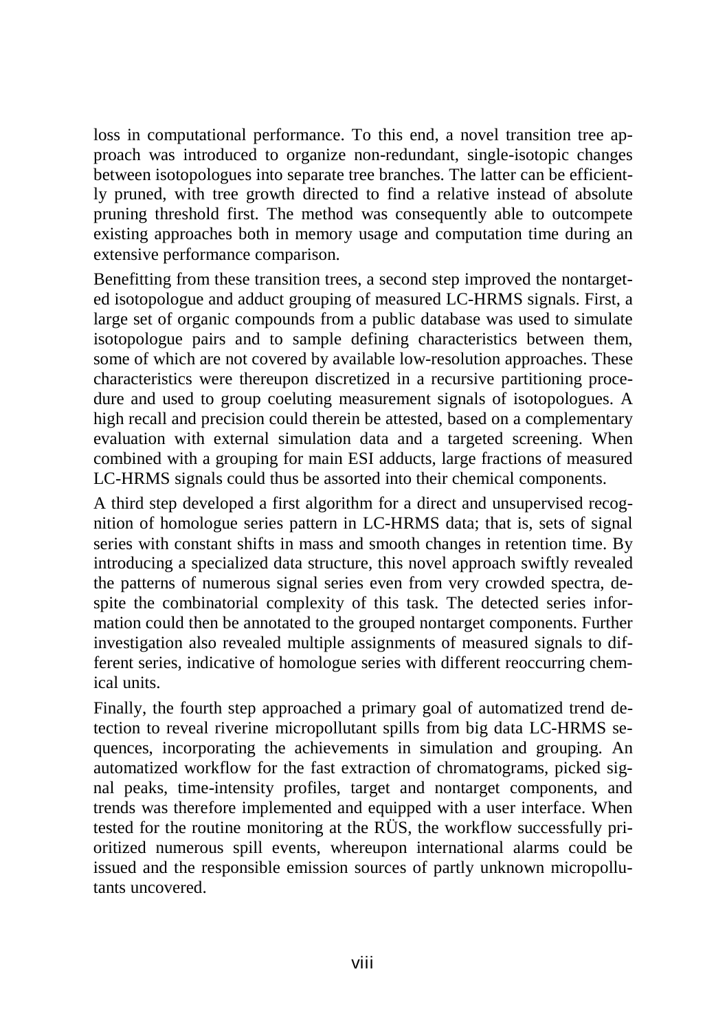loss in computational performance. To this end, a novel transition tree approach was introduced to organize non-redundant, single-isotopic changes between isotopologues into separate tree branches. The latter can be efficiently pruned, with tree growth directed to find a relative instead of absolute pruning threshold first. The method was consequently able to outcompete existing approaches both in memory usage and computation time during an extensive performance comparison.

Benefitting from these transition trees, a second step improved the nontargeted isotopologue and adduct grouping of measured LC-HRMS signals. First, a large set of organic compounds from a public database was used to simulate isotopologue pairs and to sample defining characteristics between them, some of which are not covered by available low-resolution approaches. These characteristics were thereupon discretized in a recursive partitioning procedure and used to group coeluting measurement signals of isotopologues. A high recall and precision could therein be attested, based on a complementary evaluation with external simulation data and a targeted screening. When combined with a grouping for main ESI adducts, large fractions of measured LC-HRMS signals could thus be assorted into their chemical components.

A third step developed a first algorithm for a direct and unsupervised recognition of homologue series pattern in LC-HRMS data; that is, sets of signal series with constant shifts in mass and smooth changes in retention time. By introducing a specialized data structure, this novel approach swiftly revealed the patterns of numerous signal series even from very crowded spectra, despite the combinatorial complexity of this task. The detected series information could then be annotated to the grouped nontarget components. Further investigation also revealed multiple assignments of measured signals to different series, indicative of homologue series with different reoccurring chemical units.

Finally, the fourth step approached a primary goal of automatized trend detection to reveal riverine micropollutant spills from big data LC-HRMS sequences, incorporating the achievements in simulation and grouping. An automatized workflow for the fast extraction of chromatograms, picked signal peaks, time-intensity profiles, target and nontarget components, and trends was therefore implemented and equipped with a user interface. When tested for the routine monitoring at the RÜS, the workflow successfully prioritized numerous spill events, whereupon international alarms could be issued and the responsible emission sources of partly unknown micropollutants uncovered.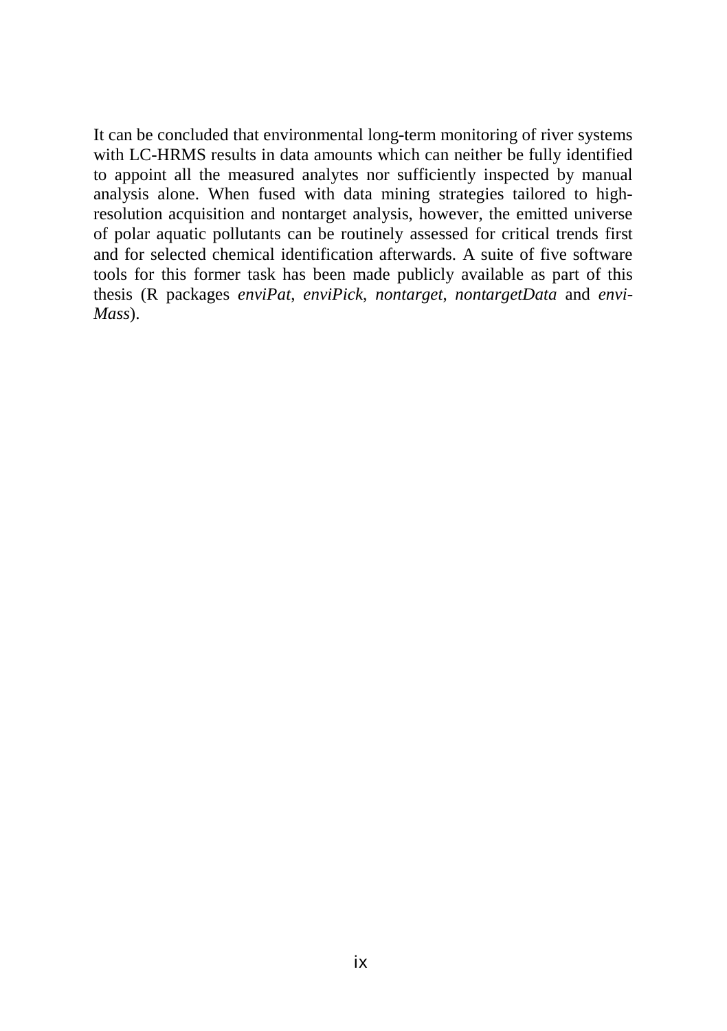It can be concluded that environmental long-term monitoring of river systems with LC-HRMS results in data amounts which can neither be fully identified to appoint all the measured analytes nor sufficiently inspected by manual analysis alone. When fused with data mining strategies tailored to highresolution acquisition and nontarget analysis, however, the emitted universe of polar aquatic pollutants can be routinely assessed for critical trends first and for selected chemical identification afterwards. A suite of five software tools for this former task has been made publicly available as part of this thesis (R packages *enviPat*, *enviPick*, *nontarget*, *nontargetData* and *envi-Mass*).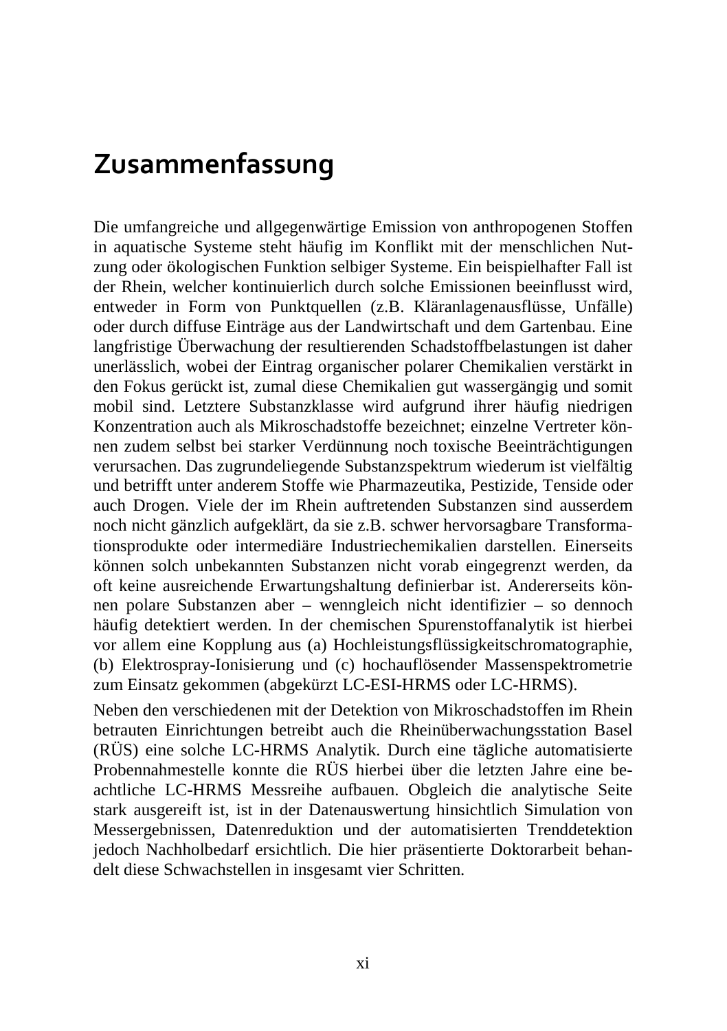#### **Zusammenfassung**

Die umfangreiche und allgegenwärtige Emission von anthropogenen Stoffen in aquatische Systeme steht häufig im Konflikt mit der menschlichen Nutzung oder ökologischen Funktion selbiger Systeme. Ein beispielhafter Fall ist der Rhein, welcher kontinuierlich durch solche Emissionen beeinflusst wird, entweder in Form von Punktquellen (z.B. Kläranlagenausflüsse, Unfälle) oder durch diffuse Einträge aus der Landwirtschaft und dem Gartenbau. Eine langfristige Überwachung der resultierenden Schadstoffbelastungen ist daher unerlässlich, wobei der Eintrag organischer polarer Chemikalien verstärkt in den Fokus gerückt ist, zumal diese Chemikalien gut wassergängig und somit mobil sind. Letztere Substanzklasse wird aufgrund ihrer häufig niedrigen Konzentration auch als Mikroschadstoffe bezeichnet; einzelne Vertreter können zudem selbst bei starker Verdünnung noch toxische Beeinträchtigungen verursachen. Das zugrundeliegende Substanzspektrum wiederum ist vielfältig und betrifft unter anderem Stoffe wie Pharmazeutika, Pestizide, Tenside oder auch Drogen. Viele der im Rhein auftretenden Substanzen sind ausserdem noch nicht gänzlich aufgeklärt, da sie z.B. schwer hervorsagbare Transformationsprodukte oder intermediäre Industriechemikalien darstellen. Einerseits können solch unbekannten Substanzen nicht vorab eingegrenzt werden, da oft keine ausreichende Erwartungshaltung definierbar ist. Andererseits können polare Substanzen aber – wenngleich nicht identifizier – so dennoch häufig detektiert werden. In der chemischen Spurenstoffanalytik ist hierbei vor allem eine Kopplung aus (a) Hochleistungsflüssigkeitschromatographie, (b) Elektrospray-Ionisierung und (c) hochauflösender Massenspektrometrie zum Einsatz gekommen (abgekürzt LC-ESI-HRMS oder LC-HRMS).

Neben den verschiedenen mit der Detektion von Mikroschadstoffen im Rhein betrauten Einrichtungen betreibt auch die Rheinüberwachungsstation Basel (RÜS) eine solche LC-HRMS Analytik. Durch eine tägliche automatisierte Probennahmestelle konnte die RÜS hierbei über die letzten Jahre eine beachtliche LC-HRMS Messreihe aufbauen. Obgleich die analytische Seite stark ausgereift ist, ist in der Datenauswertung hinsichtlich Simulation von Messergebnissen, Datenreduktion und der automatisierten Trenddetektion jedoch Nachholbedarf ersichtlich. Die hier präsentierte Doktorarbeit behandelt diese Schwachstellen in insgesamt vier Schritten.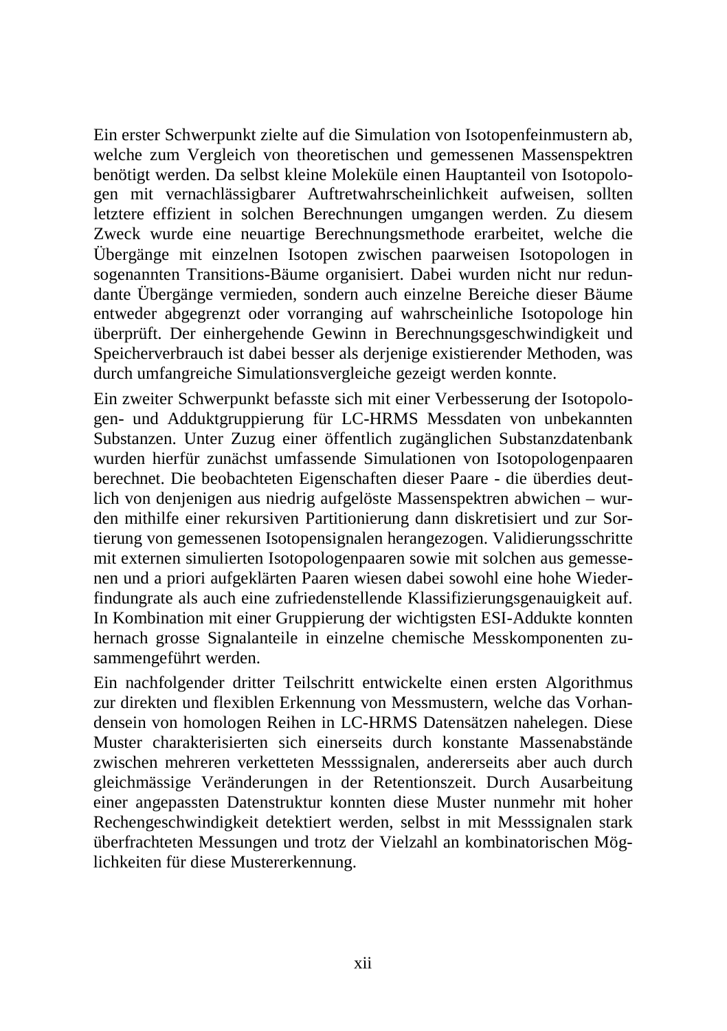Ein erster Schwerpunkt zielte auf die Simulation von Isotopenfeinmustern ab, welche zum Vergleich von theoretischen und gemessenen Massenspektren benötigt werden. Da selbst kleine Moleküle einen Hauptanteil von Isotopologen mit vernachlässigbarer Auftretwahrscheinlichkeit aufweisen, sollten letztere effizient in solchen Berechnungen umgangen werden. Zu diesem Zweck wurde eine neuartige Berechnungsmethode erarbeitet, welche die Übergänge mit einzelnen Isotopen zwischen paarweisen Isotopologen in sogenannten Transitions-Bäume organisiert. Dabei wurden nicht nur redundante Übergänge vermieden, sondern auch einzelne Bereiche dieser Bäume entweder abgegrenzt oder vorranging auf wahrscheinliche Isotopologe hin überprüft. Der einhergehende Gewinn in Berechnungsgeschwindigkeit und Speicherverbrauch ist dabei besser als derjenige existierender Methoden, was durch umfangreiche Simulationsvergleiche gezeigt werden konnte.

Ein zweiter Schwerpunkt befasste sich mit einer Verbesserung der Isotopologen- und Adduktgruppierung für LC-HRMS Messdaten von unbekannten Substanzen. Unter Zuzug einer öffentlich zugänglichen Substanzdatenbank wurden hierfür zunächst umfassende Simulationen von Isotopologenpaaren berechnet. Die beobachteten Eigenschaften dieser Paare - die überdies deutlich von denjenigen aus niedrig aufgelöste Massenspektren abwichen – wurden mithilfe einer rekursiven Partitionierung dann diskretisiert und zur Sortierung von gemessenen Isotopensignalen herangezogen. Validierungsschritte mit externen simulierten Isotopologenpaaren sowie mit solchen aus gemessenen und a priori aufgeklärten Paaren wiesen dabei sowohl eine hohe Wiederfindungrate als auch eine zufriedenstellende Klassifizierungsgenauigkeit auf. In Kombination mit einer Gruppierung der wichtigsten ESI-Addukte konnten hernach grosse Signalanteile in einzelne chemische Messkomponenten zusammengeführt werden.

Ein nachfolgender dritter Teilschritt entwickelte einen ersten Algorithmus zur direkten und flexiblen Erkennung von Messmustern, welche das Vorhandensein von homologen Reihen in LC-HRMS Datensätzen nahelegen. Diese Muster charakterisierten sich einerseits durch konstante Massenabstände zwischen mehreren verketteten Messsignalen, andererseits aber auch durch gleichmässige Veränderungen in der Retentionszeit. Durch Ausarbeitung einer angepassten Datenstruktur konnten diese Muster nunmehr mit hoher Rechengeschwindigkeit detektiert werden, selbst in mit Messsignalen stark überfrachteten Messungen und trotz der Vielzahl an kombinatorischen Möglichkeiten für diese Mustererkennung.